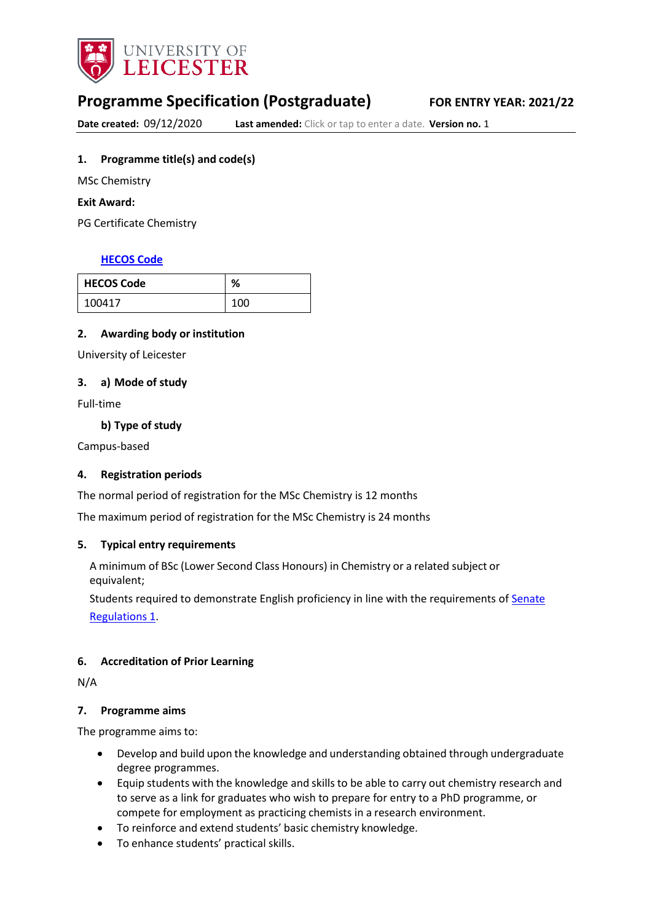

# **Programme Specification (Postgraduate) FOR ENTRY YEAR: 2021/22**

**Date created:** 09/12/2020 **Last amended:** Click or tap to enter a date. **Version no.** 1

# <span id="page-0-0"></span>**1. Programme title(s) and code(s)**

MSc Chemistry

### **Exit Award:**

PG Certificate Chemistry

# **[HECOS](https://www.hesa.ac.uk/innovation/hecos) Code**

| <b>HECOS Code</b> | %   |
|-------------------|-----|
| 100417            | 100 |

# **2. Awarding body or institution**

University of Leicester

# **3. a) Mode of study**

Full-time

**b) Type of study**

Campus-based

# **4. Registration periods**

The normal period of registration for the MSc Chemistry is 12 months

The maximum period of registration for the MSc Chemistry is 24 months

# **5. Typical entry requirements**

A minimum of BSc (Lower Second Class Honours) in Chemistry or a related subject or equivalent;

Students required to demonstrate English proficiency in line with the requirements of [Senate](https://www2.le.ac.uk/offices/sas2/regulations/senate-regulations) [Regulations](https://www2.le.ac.uk/offices/sas2/regulations/senate-regulations) 1.

# **6. Accreditation of Prior Learning**

N/A

### **7. Programme aims**

The programme aims to:

- Develop and build upon the knowledge and understanding obtained through undergraduate degree programmes.
- Equip students with the knowledge and skills to be able to carry out chemistry research and to serve as a link for graduates who wish to prepare for entry to a PhD programme, or compete for employment as practicing chemists in a research environment.
- To reinforce and extend students' basic chemistry knowledge.
- To enhance students' practical skills.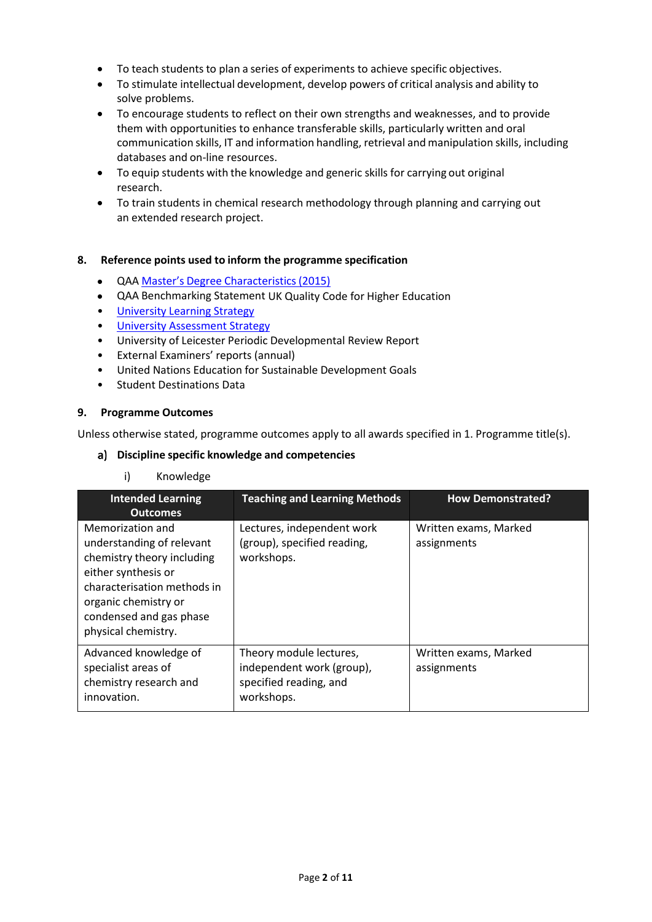- To teach students to plan a series of experiments to achieve specific objectives.
- To stimulate intellectual development, develop powers of critical analysis and ability to solve problems.
- To encourage students to reflect on their own strengths and weaknesses, and to provide them with opportunities to enhance transferable skills, particularly written and oral communication skills, IT and information handling, retrieval and manipulation skills, including databases and on-line resources.
- To equip students with the knowledge and generic skills for carrying out original research.
- To train students in chemical research methodology through planning and carrying out an extended research project.

# **8. Reference points used to inform the programme specification**

- QAA Master's Degree [Characteristics](https://www.qaa.ac.uk/docs/qaa/quality-code/master%27s-degree-characteristics-statement.pdf?sfvrsn=6ca2f981_10) (2015)
- QAA Benchmarking Statement UK Quality Code for Higher Education
- [University](https://www2.le.ac.uk/offices/sas2/quality/learnteach) Learning Strategy
- University [Assessment](https://www2.le.ac.uk/offices/sas2/quality/learnteach) Strategy
- University of Leicester Periodic Developmental Review Report
- External Examiners' reports (annual)
- United Nations Education for Sustainable Development Goals
- Student Destinations Data

# **9. Programme Outcomes**

Unless otherwise stated, programme outcomes apply to all awards specified in [1.](#page-0-0) Programme title(s).

# **Discipline specific knowledge and competencies**

# i) Knowledge

| <b>Intended Learning</b><br><b>Outcomes</b>                                                                                                                                                                 | <b>Teaching and Learning Methods</b>                                                         | <b>How Demonstrated?</b>             |
|-------------------------------------------------------------------------------------------------------------------------------------------------------------------------------------------------------------|----------------------------------------------------------------------------------------------|--------------------------------------|
| Memorization and<br>understanding of relevant<br>chemistry theory including<br>either synthesis or<br>characterisation methods in<br>organic chemistry or<br>condensed and gas phase<br>physical chemistry. | Lectures, independent work<br>(group), specified reading,<br>workshops.                      | Written exams, Marked<br>assignments |
| Advanced knowledge of<br>specialist areas of<br>chemistry research and<br>innovation.                                                                                                                       | Theory module lectures,<br>independent work (group),<br>specified reading, and<br>workshops. | Written exams, Marked<br>assignments |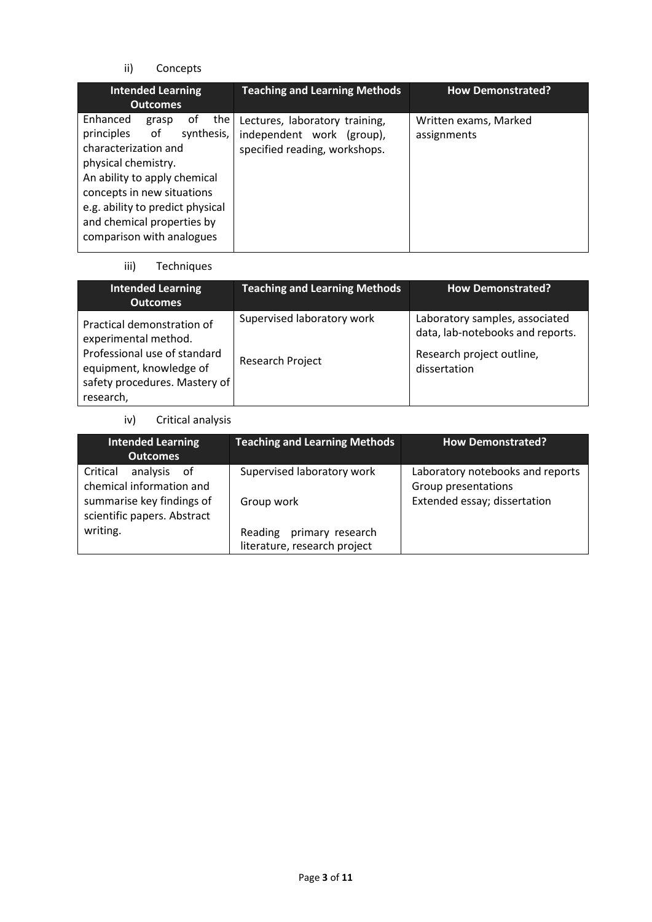ii) Concepts

| <b>Intended Learning</b><br><b>Outcomes</b>                                                                                                                                                                                                                               | <b>Teaching and Learning Methods</b>                                                         | <b>How Demonstrated?</b>             |
|---------------------------------------------------------------------------------------------------------------------------------------------------------------------------------------------------------------------------------------------------------------------------|----------------------------------------------------------------------------------------------|--------------------------------------|
| Enhanced<br>the<br>0t<br>grasp<br>principles of<br>synthesis,<br>characterization and<br>physical chemistry.<br>An ability to apply chemical<br>concepts in new situations<br>e.g. ability to predict physical<br>and chemical properties by<br>comparison with analogues | Lectures, laboratory training,<br>independent work (group),<br>specified reading, workshops. | Written exams, Marked<br>assignments |

iii) Techniques

| <b>Intended Learning</b><br><b>Outcomes</b>                                                                                                                 | <b>Teaching and Learning Methods</b>           | <b>How Demonstrated?</b>                                                                                        |
|-------------------------------------------------------------------------------------------------------------------------------------------------------------|------------------------------------------------|-----------------------------------------------------------------------------------------------------------------|
| Practical demonstration of<br>experimental method.<br>Professional use of standard<br>equipment, knowledge of<br>safety procedures. Mastery of<br>research, | Supervised laboratory work<br>Research Project | Laboratory samples, associated<br>data, lab-notebooks and reports.<br>Research project outline,<br>dissertation |

iv) Critical analysis

| <b>Intended Learning</b><br><b>Outcomes</b>                          | <b>Teaching and Learning Methods</b>                     | <b>How Demonstrated?</b>                                |
|----------------------------------------------------------------------|----------------------------------------------------------|---------------------------------------------------------|
| analysis<br>Critical<br>of<br>chemical information and               | Supervised laboratory work                               | Laboratory notebooks and reports<br>Group presentations |
| summarise key findings of<br>scientific papers. Abstract<br>writing. | Group work                                               | Extended essay; dissertation                            |
|                                                                      | Reading primary research<br>literature, research project |                                                         |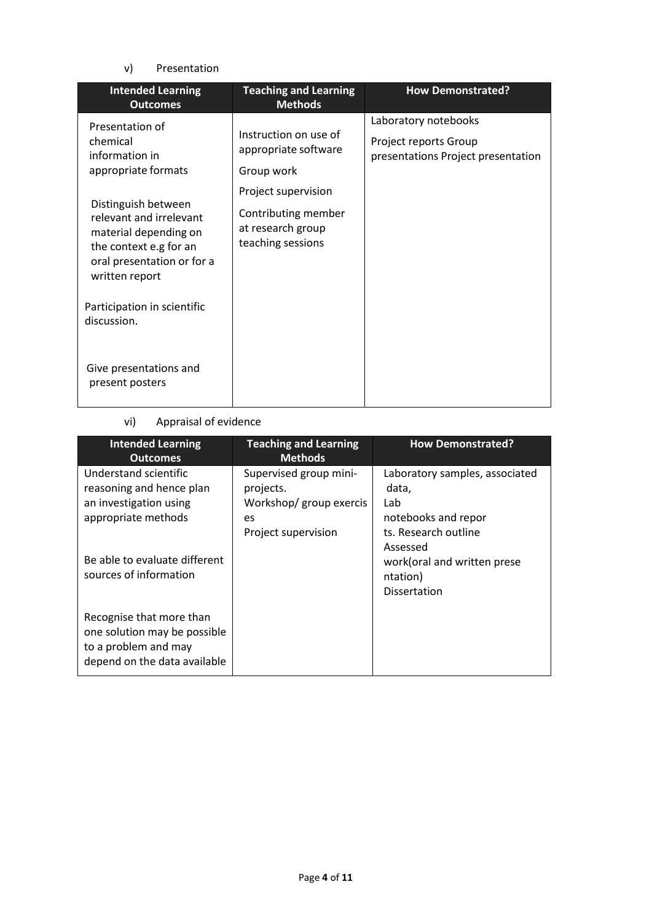# v) Presentation

| <b>Intended Learning</b><br><b>Outcomes</b>                                                                                                       | <b>Teaching and Learning</b><br><b>Methods</b>                                       | <b>How Demonstrated?</b>                                                            |
|---------------------------------------------------------------------------------------------------------------------------------------------------|--------------------------------------------------------------------------------------|-------------------------------------------------------------------------------------|
| Presentation of<br>chemical<br>information in<br>appropriate formats                                                                              | Instruction on use of<br>appropriate software<br>Group work                          | Laboratory notebooks<br>Project reports Group<br>presentations Project presentation |
| Distinguish between<br>relevant and irrelevant<br>material depending on<br>the context e.g for an<br>oral presentation or for a<br>written report | Project supervision<br>Contributing member<br>at research group<br>teaching sessions |                                                                                     |
| Participation in scientific<br>discussion.                                                                                                        |                                                                                      |                                                                                     |
| Give presentations and<br>present posters                                                                                                         |                                                                                      |                                                                                     |

# vi) Appraisal of evidence

| <b>Intended Learning</b><br><b>Outcomes</b>                                                                      | <b>Teaching and Learning</b><br><b>Methods</b>                                               | <b>How Demonstrated?</b>                                                                                  |
|------------------------------------------------------------------------------------------------------------------|----------------------------------------------------------------------------------------------|-----------------------------------------------------------------------------------------------------------|
| Understand scientific<br>reasoning and hence plan<br>an investigation using<br>appropriate methods               | Supervised group mini-<br>projects.<br>Workshop/ group exercis<br>es.<br>Project supervision | Laboratory samples, associated<br>data,<br>Lab<br>notebooks and repor<br>ts. Research outline<br>Assessed |
| Be able to evaluate different<br>sources of information                                                          |                                                                                              | work(oral and written prese<br>ntation)<br>Dissertation                                                   |
| Recognise that more than<br>one solution may be possible<br>to a problem and may<br>depend on the data available |                                                                                              |                                                                                                           |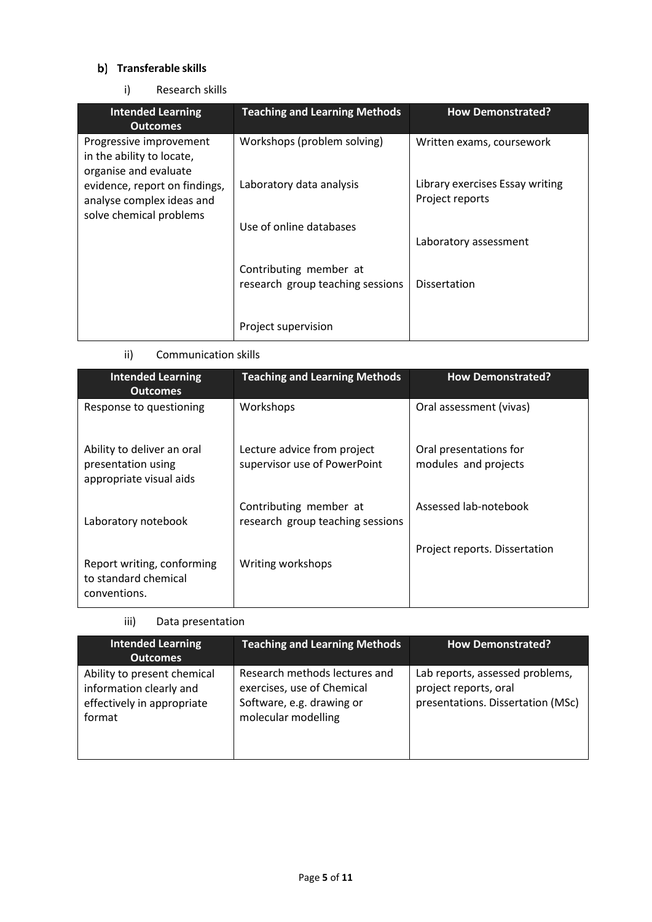# **Transferable skills**

i) Research skills

| <b>Intended Learning</b><br><b>Outcomes</b>                                           | <b>Teaching and Learning Methods</b>                       | <b>How Demonstrated?</b>                           |
|---------------------------------------------------------------------------------------|------------------------------------------------------------|----------------------------------------------------|
| Progressive improvement<br>in the ability to locate,<br>organise and evaluate         | Workshops (problem solving)                                | Written exams, coursework                          |
| evidence, report on findings,<br>analyse complex ideas and<br>solve chemical problems | Laboratory data analysis                                   | Library exercises Essay writing<br>Project reports |
|                                                                                       | Use of online databases                                    | Laboratory assessment                              |
|                                                                                       | Contributing member at<br>research group teaching sessions | <b>Dissertation</b>                                |
|                                                                                       | Project supervision                                        |                                                    |

ii) Communication skills

| <b>Intended Learning</b><br><b>Outcomes</b>                                 | <b>Teaching and Learning Methods</b>                        | <b>How Demonstrated?</b>                       |
|-----------------------------------------------------------------------------|-------------------------------------------------------------|------------------------------------------------|
| Response to questioning                                                     | Workshops                                                   | Oral assessment (vivas)                        |
| Ability to deliver an oral<br>presentation using<br>appropriate visual aids | Lecture advice from project<br>supervisor use of PowerPoint | Oral presentations for<br>modules and projects |
| Laboratory notebook                                                         | Contributing member at<br>research group teaching sessions  | Assessed lab-notebook                          |
| Report writing, conforming<br>to standard chemical<br>conventions.          | Writing workshops                                           | Project reports. Dissertation                  |

iii) Data presentation

| Intended Learning<br><b>Outcomes</b>                                                           | <b>Teaching and Learning Methods</b>                                                                            | <b>How Demonstrated?</b>                                                                      |
|------------------------------------------------------------------------------------------------|-----------------------------------------------------------------------------------------------------------------|-----------------------------------------------------------------------------------------------|
| Ability to present chemical<br>information clearly and<br>effectively in appropriate<br>format | Research methods lectures and<br>exercises, use of Chemical<br>Software, e.g. drawing or<br>molecular modelling | Lab reports, assessed problems,<br>project reports, oral<br>presentations. Dissertation (MSc) |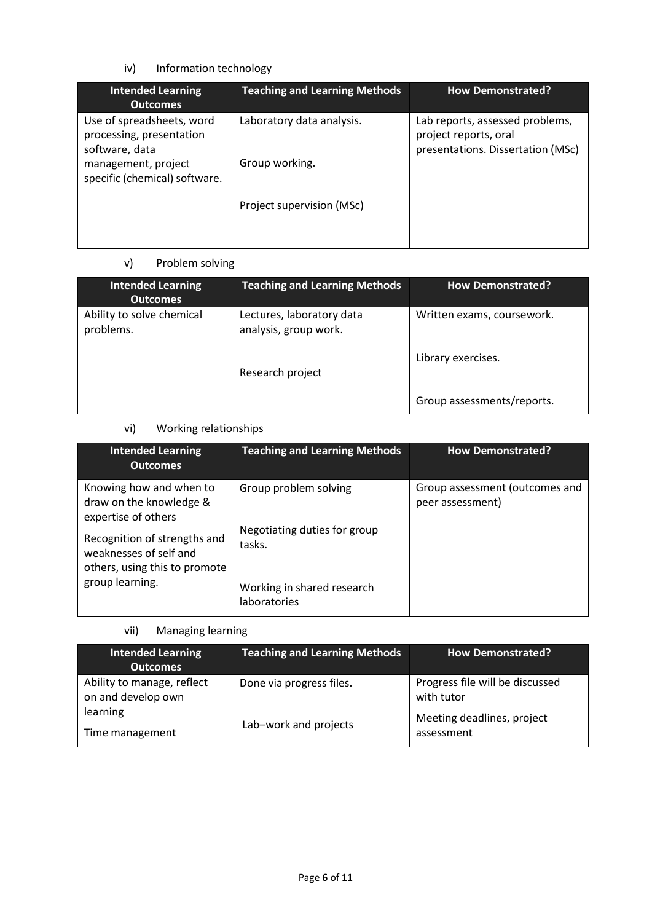# iv) Information technology

| <b>Intended Learning</b><br><b>Outcomes</b>                                                                                     | <b>Teaching and Learning Methods</b>        | <b>How Demonstrated?</b>                                                                      |
|---------------------------------------------------------------------------------------------------------------------------------|---------------------------------------------|-----------------------------------------------------------------------------------------------|
| Use of spreadsheets, word<br>processing, presentation<br>software, data<br>management, project<br>specific (chemical) software. | Laboratory data analysis.<br>Group working. | Lab reports, assessed problems,<br>project reports, oral<br>presentations. Dissertation (MSc) |
|                                                                                                                                 | Project supervision (MSc)                   |                                                                                               |

# v) Problem solving

| <b>Intended Learning</b><br><b>Outcomes</b> | <b>Teaching and Learning Methods</b>               | <b>How Demonstrated?</b>   |
|---------------------------------------------|----------------------------------------------------|----------------------------|
| Ability to solve chemical<br>problems.      | Lectures, laboratory data<br>analysis, group work. | Written exams, coursework. |
|                                             | Research project                                   | Library exercises.         |
|                                             |                                                    | Group assessments/reports. |

# vi) Working relationships

| <b>Intended Learning</b><br><b>Outcomes</b>                                             | <b>Teaching and Learning Methods</b>       | <b>How Demonstrated?</b>                           |
|-----------------------------------------------------------------------------------------|--------------------------------------------|----------------------------------------------------|
| Knowing how and when to<br>draw on the knowledge &<br>expertise of others               | Group problem solving                      | Group assessment (outcomes and<br>peer assessment) |
| Recognition of strengths and<br>weaknesses of self and<br>others, using this to promote | Negotiating duties for group<br>tasks.     |                                                    |
| group learning.                                                                         | Working in shared research<br>laboratories |                                                    |

vii) Managing learning

| <b>Intended Learning</b><br><b>Outcomes</b>      | <b>Teaching and Learning Methods</b> | <b>How Demonstrated?</b>                      |
|--------------------------------------------------|--------------------------------------|-----------------------------------------------|
| Ability to manage, reflect<br>on and develop own | Done via progress files.             | Progress file will be discussed<br>with tutor |
| learning<br>Time management                      | Lab-work and projects                | Meeting deadlines, project<br>assessment      |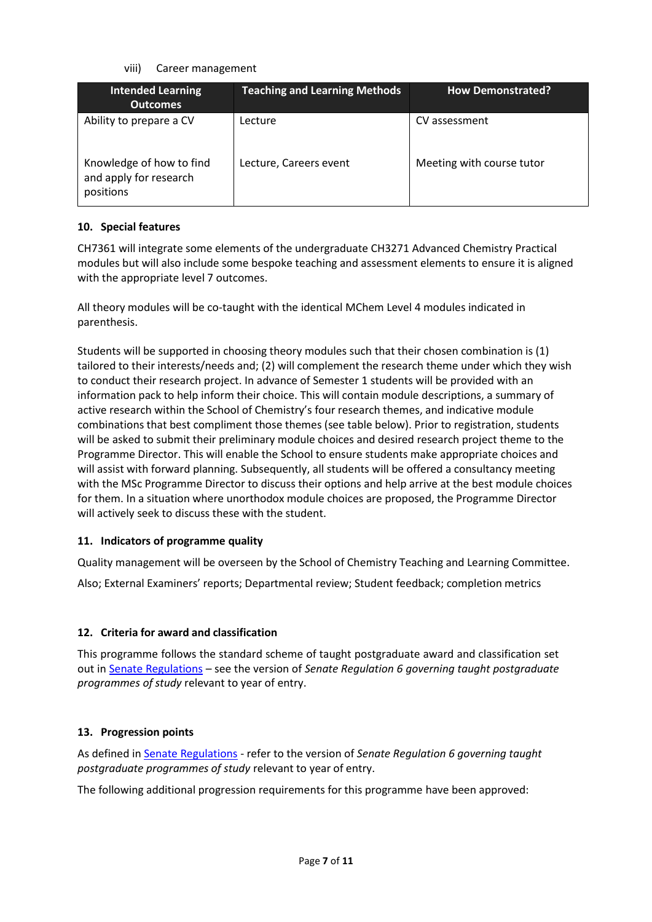viii) Career management

| <b>Intended Learning</b><br><b>Outcomes</b>                     | <b>Teaching and Learning Methods</b> | <b>How Demonstrated?</b>  |
|-----------------------------------------------------------------|--------------------------------------|---------------------------|
| Ability to prepare a CV                                         | Lecture                              | CV assessment             |
| Knowledge of how to find<br>and apply for research<br>positions | Lecture, Careers event               | Meeting with course tutor |

# **10. Special features**

CH7361 will integrate some elements of the undergraduate CH3271 Advanced Chemistry Practical modules but will also include some bespoke teaching and assessment elements to ensure it is aligned with the appropriate level 7 outcomes.

All theory modules will be co-taught with the identical MChem Level 4 modules indicated in parenthesis.

Students will be supported in choosing theory modules such that their chosen combination is (1) tailored to their interests/needs and; (2) will complement the research theme under which they wish to conduct their research project. In advance of Semester 1 students will be provided with an information pack to help inform their choice. This will contain module descriptions, a summary of active research within the School of Chemistry's four research themes, and indicative module combinations that best compliment those themes (see table below). Prior to registration, students will be asked to submit their preliminary module choices and desired research project theme to the Programme Director. This will enable the School to ensure students make appropriate choices and will assist with forward planning. Subsequently, all students will be offered a consultancy meeting with the MSc Programme Director to discuss their options and help arrive at the best module choices for them. In a situation where unorthodox module choices are proposed, the Programme Director will actively seek to discuss these with the student.

# **11. Indicators of programme quality**

Quality management will be overseen by the School of Chemistry Teaching and Learning Committee.

Also; External Examiners' reports; Departmental review; Student feedback; completion metrics

# **12. Criteria for award and classification**

This programme follows the standard scheme of taught postgraduate award and classification set out i[n Senate Regulations](http://www.le.ac.uk/senate-regulations) – see the version of *Senate Regulation 6 governing taught postgraduate programmes of study* relevant to year of entry.

# **13. Progression points**

As defined i[n Senate Regulations](http://www.le.ac.uk/senate-regulation6) - refer to the version of *Senate Regulation 6 governing taught postgraduate programmes of study* relevant to year of entry.

The following additional progression requirements for this programme have been approved: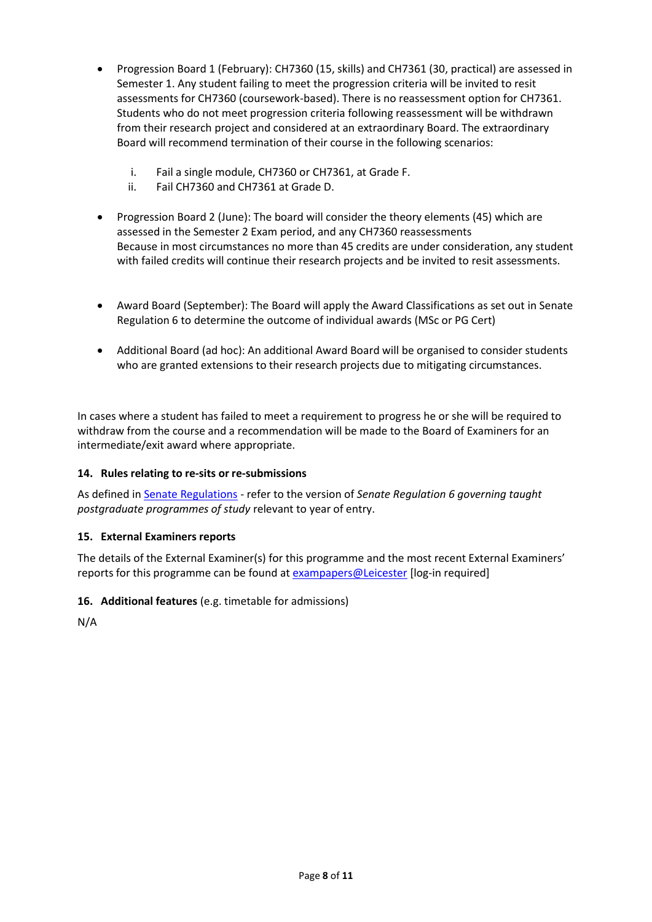- Progression Board 1 (February): CH7360 (15, skills) and CH7361 (30, practical) are assessed in Semester 1. Any student failing to meet the progression criteria will be invited to resit assessments for CH7360 (coursework-based). There is no reassessment option for CH7361. Students who do not meet progression criteria following reassessment will be withdrawn from their research project and considered at an extraordinary Board. The extraordinary Board will recommend termination of their course in the following scenarios:
	- i. Fail a single module, CH7360 or CH7361, at Grade F.
	- ii. Fail CH7360 and CH7361 at Grade D.
- Progression Board 2 (June): The board will consider the theory elements (45) which are assessed in the Semester 2 Exam period, and any CH7360 reassessments Because in most circumstances no more than 45 credits are under consideration, any student with failed credits will continue their research projects and be invited to resit assessments.
- Award Board (September): The Board will apply the Award Classifications as set out in Senate Regulation 6 to determine the outcome of individual awards (MSc or PG Cert)
- Additional Board (ad hoc): An additional Award Board will be organised to consider students who are granted extensions to their research projects due to mitigating circumstances.

In cases where a student has failed to meet a requirement to progress he or she will be required to withdraw from the course and a recommendation will be made to the Board of Examiners for an intermediate/exit award where appropriate.

# **14. Rules relating to re-sits or re-submissions**

As defined i[n Senate Regulations](http://www.le.ac.uk/senate-regulation6) - refer to the version of *Senate Regulation 6 governing taught postgraduate programmes of study* relevant to year of entry.

# **15. External Examiners reports**

The details of the External Examiner(s) for this programme and the most recent External Examiners' reports for this programme can be found at **exampapers@Leicester** [log-in required]

**16. Additional features** (e.g. timetable for admissions)

N/A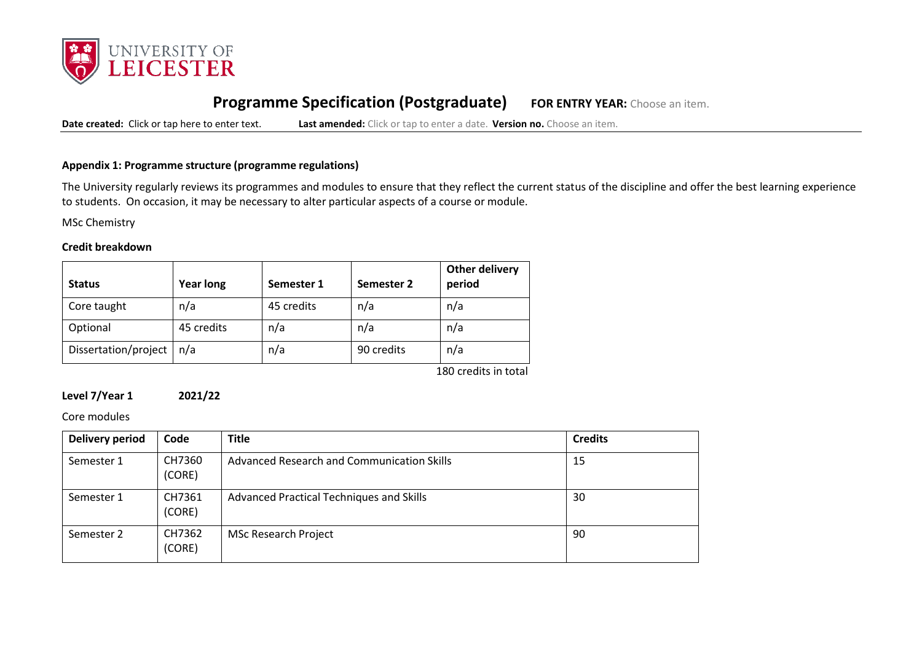

# **Programme Specification (Postgraduate) FOR ENTRY YEAR:** Choose an item.

**Date created:** Click or tap here to enter text. **Last amended:** Click or tap to enter a date. **Version no.** Choose an item.

### **Appendix 1: Programme structure (programme regulations)**

The University regularly reviews its programmes and modules to ensure that they reflect the current status of the discipline and offer the best learning experience to students. On occasion, it may be necessary to alter particular aspects of a course or module.

MSc Chemistry

#### **Credit breakdown**

| <b>Status</b>        | <b>Year long</b> | Semester 1 | Semester 2 | Other delivery<br>period |
|----------------------|------------------|------------|------------|--------------------------|
| Core taught          | n/a              | 45 credits | n/a        | n/a                      |
| Optional             | 45 credits       | n/a        | n/a        | n/a                      |
| Dissertation/project | n/a              | n/a        | 90 credits | n/a                      |

180 credits in total

### **Level 7/Year 1 2021/22**

#### Core modules

| Delivery period | Code             | <b>Title</b>                                    | <b>Credits</b> |
|-----------------|------------------|-------------------------------------------------|----------------|
| Semester 1      | CH7360<br>(CORE) | Advanced Research and Communication Skills      | 15             |
| Semester 1      | CH7361<br>(CORE) | <b>Advanced Practical Techniques and Skills</b> | 30             |
| Semester 2      | CH7362<br>(CORE) | <b>MSc Research Project</b>                     | 90             |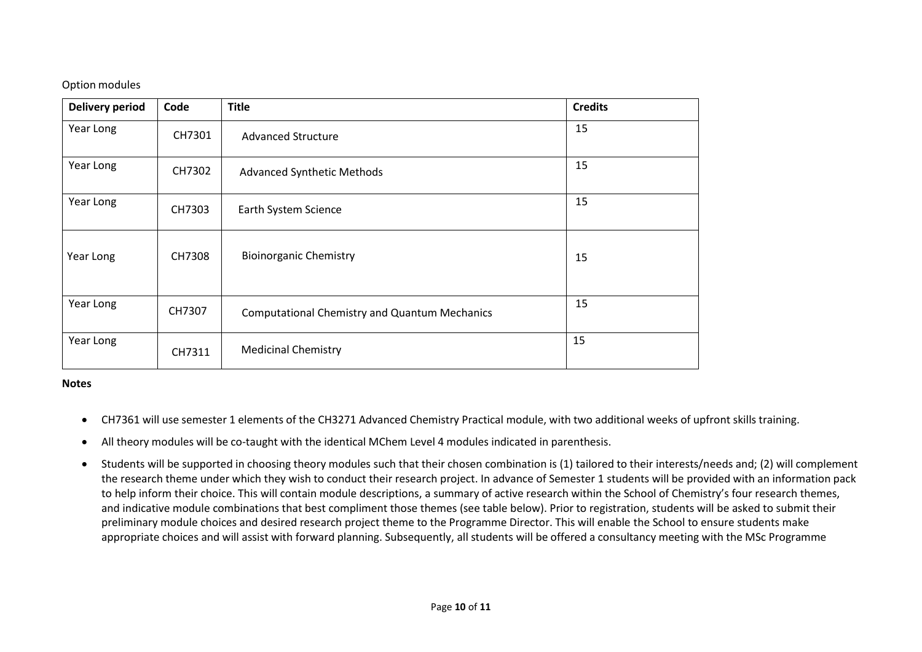# Option modules

| <b>Delivery period</b> | Code   | <b>Title</b>                                         | <b>Credits</b> |
|------------------------|--------|------------------------------------------------------|----------------|
| Year Long              | CH7301 | <b>Advanced Structure</b>                            | 15             |
| Year Long              | CH7302 | <b>Advanced Synthetic Methods</b>                    | 15             |
| Year Long              | CH7303 | Earth System Science                                 | 15             |
| Year Long              | CH7308 | <b>Bioinorganic Chemistry</b>                        | 15             |
| Year Long              | CH7307 | <b>Computational Chemistry and Quantum Mechanics</b> | 15             |
| Year Long              | CH7311 | <b>Medicinal Chemistry</b>                           | 15             |

### **Notes**

- CH7361 will use semester 1 elements of the CH3271 Advanced Chemistry Practical module, with two additional weeks of upfront skills training.
- All theory modules will be co-taught with the identical MChem Level 4 modules indicated in parenthesis.
- Students will be supported in choosing theory modules such that their chosen combination is (1) tailored to their interests/needs and; (2) will complement the research theme under which they wish to conduct their research project. In advance of Semester 1 students will be provided with an information pack to help inform their choice. This will contain module descriptions, a summary of active research within the School of Chemistry's four research themes, and indicative module combinations that best compliment those themes (see table below). Prior to registration, students will be asked to submit their preliminary module choices and desired research project theme to the Programme Director. This will enable the School to ensure students make appropriate choices and will assist with forward planning. Subsequently, all students will be offered a consultancy meeting with the MSc Programme